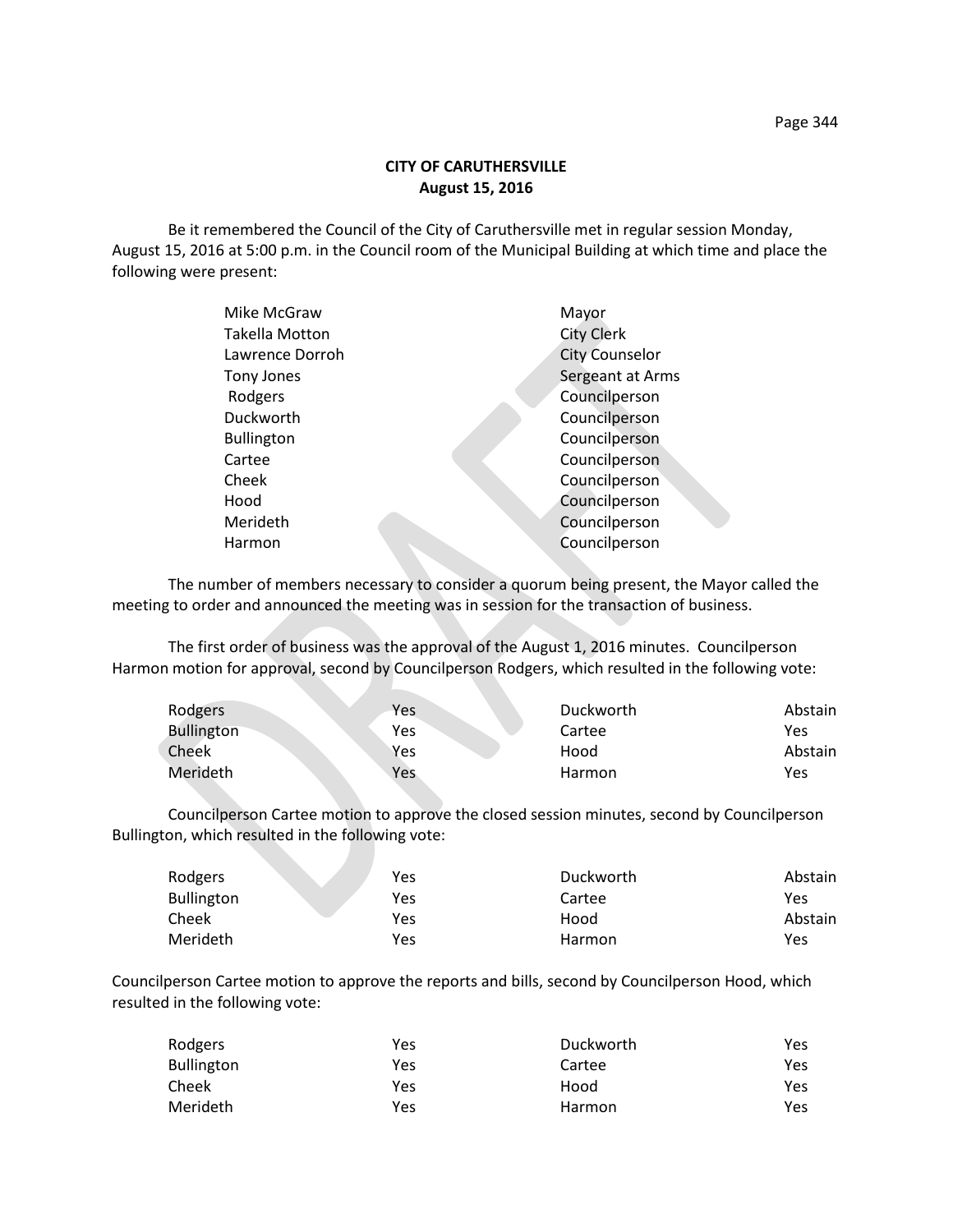Be it remembered the Council of the City of Caruthersville met in regular session Monday, August 15, 2016 at 5:00 p.m. in the Council room of the Municipal Building at which time and place the following were present:

| Mike McGraw       | Mayor                 |
|-------------------|-----------------------|
| Takella Motton    | <b>City Clerk</b>     |
| Lawrence Dorroh   | <b>City Counselor</b> |
| Tony Jones        | Sergeant at Arms      |
| Rodgers           | Councilperson         |
| Duckworth         | Councilperson         |
| <b>Bullington</b> | Councilperson         |
| Cartee            | Councilperson         |
| Cheek             | Councilperson         |
| Hood              | Councilperson         |
| Merideth          | Councilperson         |
| Harmon            | Councilperson         |
|                   |                       |

The number of members necessary to consider a quorum being present, the Mayor called the meeting to order and announced the meeting was in session for the transaction of business.

The first order of business was the approval of the August 1, 2016 minutes. Councilperson Harmon motion for approval, second by Councilperson Rodgers, which resulted in the following vote:

| Rodgers           | <b>Yes</b> | Duckworth | Abstain |
|-------------------|------------|-----------|---------|
| <b>Bullington</b> | Yes        | Cartee    | Yes     |
| Cheek             | Yes        | Hood      | Abstain |
| Merideth          | Yes        | Harmon    | Yes     |

Councilperson Cartee motion to approve the closed session minutes, second by Councilperson Bullington, which resulted in the following vote:

| Rodgers           | Yes | Duckworth | Abstain |
|-------------------|-----|-----------|---------|
| <b>Bullington</b> | Yes | Cartee    | Yes     |
| Cheek             | Yes | Hood      | Abstain |
| Merideth          | Yes | Harmon    | Yes     |

Councilperson Cartee motion to approve the reports and bills, second by Councilperson Hood, which resulted in the following vote:

| Rodgers           | Yes | Duckworth | Yes. |
|-------------------|-----|-----------|------|
| <b>Bullington</b> | Yes | Cartee    | Yes  |
| Cheek             | Yes | Hood      | Yes  |
| Merideth          | Yes | Harmon    | Yes. |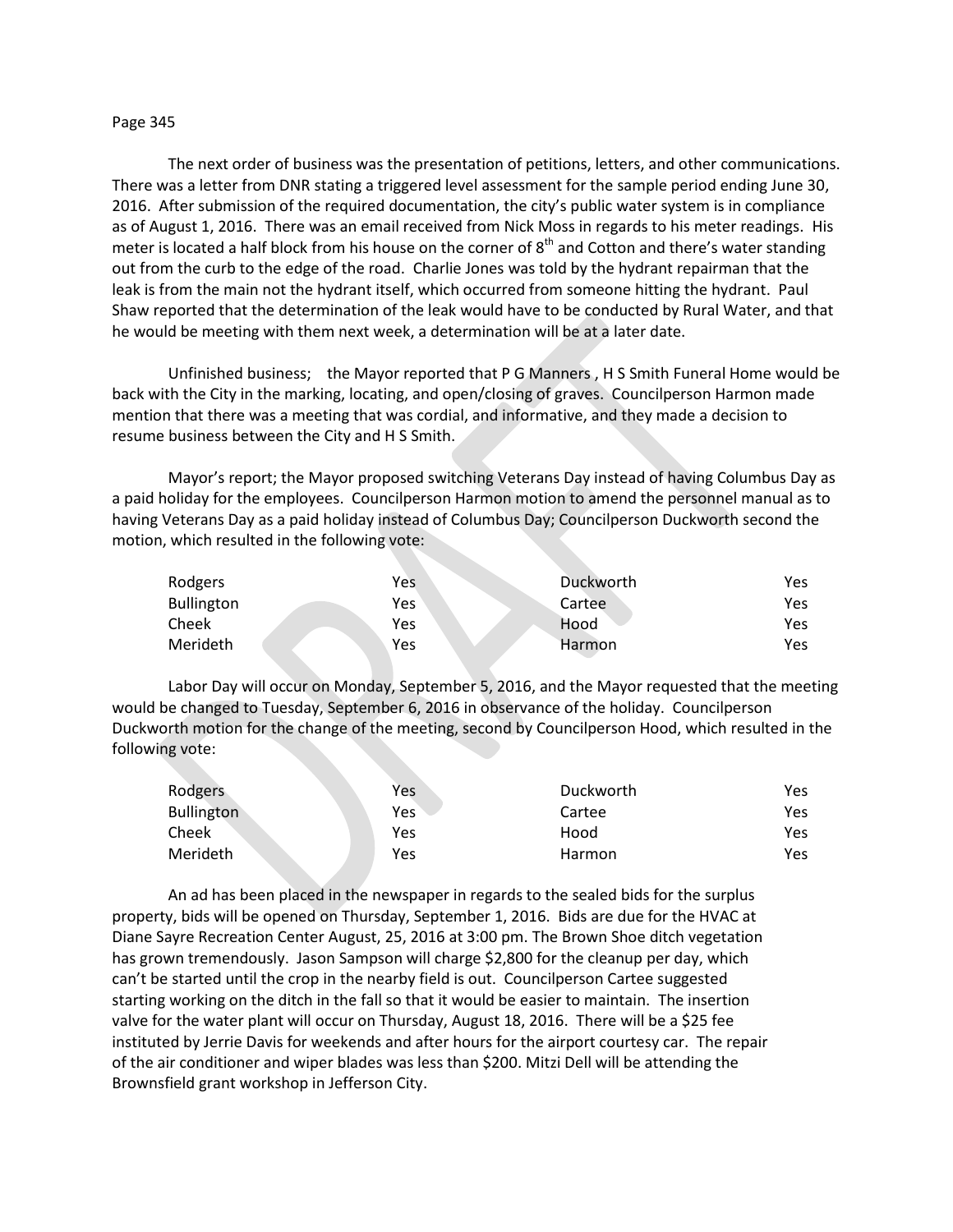## Page 345

The next order of business was the presentation of petitions, letters, and other communications. There was a letter from DNR stating a triggered level assessment for the sample period ending June 30, 2016. After submission of the required documentation, the city's public water system is in compliance as of August 1, 2016. There was an email received from Nick Moss in regards to his meter readings. His meter is located a half block from his house on the corner of 8<sup>th</sup> and Cotton and there's water standing out from the curb to the edge of the road. Charlie Jones was told by the hydrant repairman that the leak is from the main not the hydrant itself, which occurred from someone hitting the hydrant. Paul Shaw reported that the determination of the leak would have to be conducted by Rural Water, and that he would be meeting with them next week, a determination will be at a later date.

Unfinished business; the Mayor reported that P G Manners , H S Smith Funeral Home would be back with the City in the marking, locating, and open/closing of graves. Councilperson Harmon made mention that there was a meeting that was cordial, and informative, and they made a decision to resume business between the City and H S Smith.

Mayor's report; the Mayor proposed switching Veterans Day instead of having Columbus Day as a paid holiday for the employees. Councilperson Harmon motion to amend the personnel manual as to having Veterans Day as a paid holiday instead of Columbus Day; Councilperson Duckworth second the motion, which resulted in the following vote:

| Rodgers           | Yes | Duckworth     | Yes |
|-------------------|-----|---------------|-----|
| <b>Bullington</b> | Yes | Cartee        | Yes |
| Cheek             | Yes | Hood          | Yes |
| Merideth          | Yes | <b>Harmon</b> | Yes |

Labor Day will occur on Monday, September 5, 2016, and the Mayor requested that the meeting would be changed to Tuesday, September 6, 2016 in observance of the holiday. Councilperson Duckworth motion for the change of the meeting, second by Councilperson Hood, which resulted in the following vote:

| Rodgers           | Yes | Duckworth | Yes |
|-------------------|-----|-----------|-----|
| <b>Bullington</b> | Yes | Cartee    | Yes |
| Cheek             | Yes | Hood      | Yes |
| Merideth          | Yes | Harmon    | Yes |

An ad has been placed in the newspaper in regards to the sealed bids for the surplus property, bids will be opened on Thursday, September 1, 2016. Bids are due for the HVAC at Diane Sayre Recreation Center August, 25, 2016 at 3:00 pm. The Brown Shoe ditch vegetation has grown tremendously. Jason Sampson will charge \$2,800 for the cleanup per day, which can't be started until the crop in the nearby field is out. Councilperson Cartee suggested starting working on the ditch in the fall so that it would be easier to maintain. The insertion valve for the water plant will occur on Thursday, August 18, 2016. There will be a \$25 fee instituted by Jerrie Davis for weekends and after hours for the airport courtesy car. The repair of the air conditioner and wiper blades was less than \$200. Mitzi Dell will be attending the Brownsfield grant workshop in Jefferson City.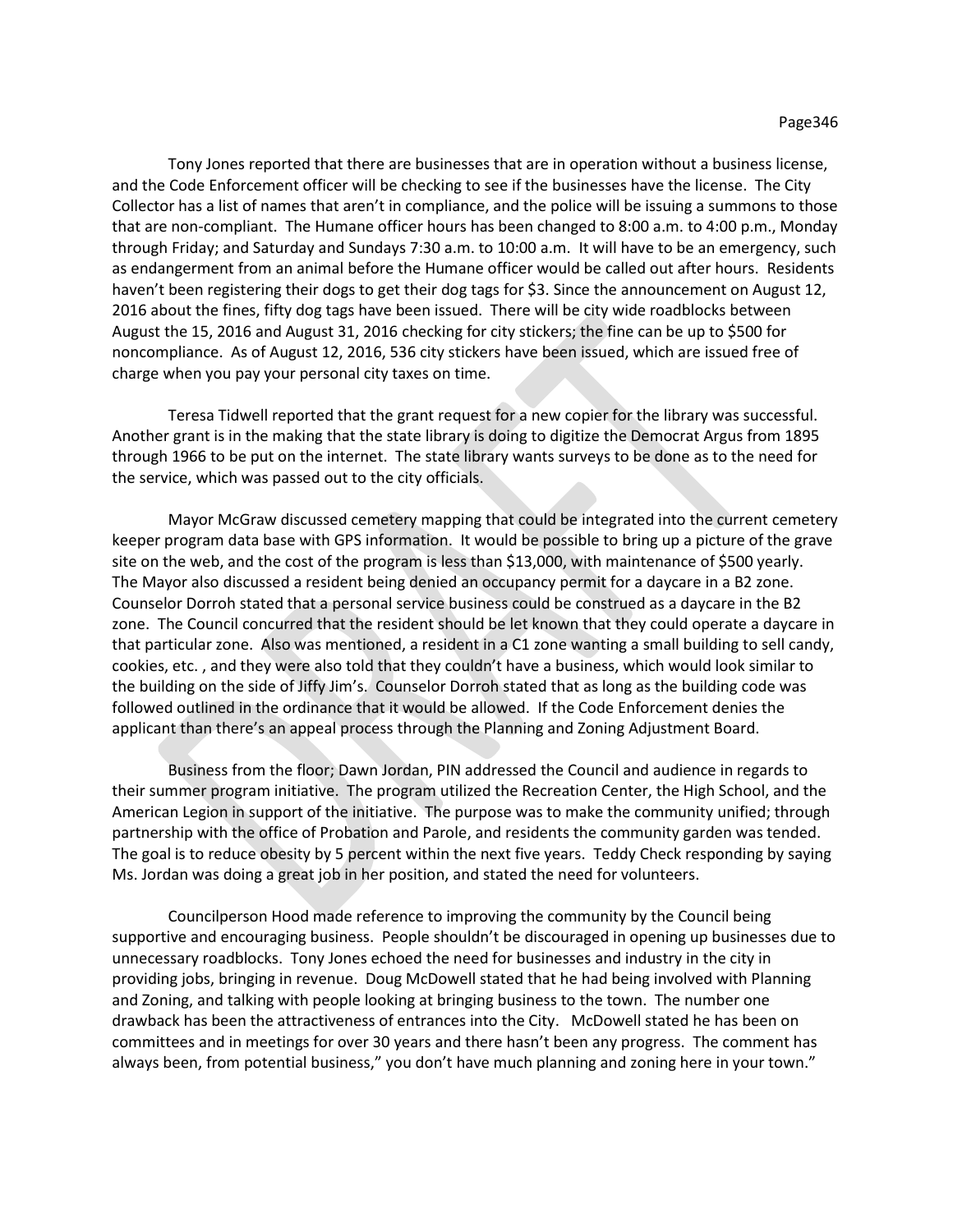Tony Jones reported that there are businesses that are in operation without a business license, and the Code Enforcement officer will be checking to see if the businesses have the license. The City Collector has a list of names that aren't in compliance, and the police will be issuing a summons to those that are non-compliant. The Humane officer hours has been changed to 8:00 a.m. to 4:00 p.m., Monday through Friday; and Saturday and Sundays 7:30 a.m. to 10:00 a.m. It will have to be an emergency, such as endangerment from an animal before the Humane officer would be called out after hours. Residents haven't been registering their dogs to get their dog tags for \$3. Since the announcement on August 12, 2016 about the fines, fifty dog tags have been issued. There will be city wide roadblocks between August the 15, 2016 and August 31, 2016 checking for city stickers; the fine can be up to \$500 for noncompliance. As of August 12, 2016, 536 city stickers have been issued, which are issued free of charge when you pay your personal city taxes on time.

Teresa Tidwell reported that the grant request for a new copier for the library was successful. Another grant is in the making that the state library is doing to digitize the Democrat Argus from 1895 through 1966 to be put on the internet. The state library wants surveys to be done as to the need for the service, which was passed out to the city officials.

Mayor McGraw discussed cemetery mapping that could be integrated into the current cemetery keeper program data base with GPS information. It would be possible to bring up a picture of the grave site on the web, and the cost of the program is less than \$13,000, with maintenance of \$500 yearly. The Mayor also discussed a resident being denied an occupancy permit for a daycare in a B2 zone. Counselor Dorroh stated that a personal service business could be construed as a daycare in the B2 zone. The Council concurred that the resident should be let known that they could operate a daycare in that particular zone. Also was mentioned, a resident in a C1 zone wanting a small building to sell candy, cookies, etc. , and they were also told that they couldn't have a business, which would look similar to the building on the side of Jiffy Jim's. Counselor Dorroh stated that as long as the building code was followed outlined in the ordinance that it would be allowed. If the Code Enforcement denies the applicant than there's an appeal process through the Planning and Zoning Adjustment Board.

Business from the floor; Dawn Jordan, PIN addressed the Council and audience in regards to their summer program initiative. The program utilized the Recreation Center, the High School, and the American Legion in support of the initiative. The purpose was to make the community unified; through partnership with the office of Probation and Parole, and residents the community garden was tended. The goal is to reduce obesity by 5 percent within the next five years. Teddy Check responding by saying Ms. Jordan was doing a great job in her position, and stated the need for volunteers.

Councilperson Hood made reference to improving the community by the Council being supportive and encouraging business. People shouldn't be discouraged in opening up businesses due to unnecessary roadblocks. Tony Jones echoed the need for businesses and industry in the city in providing jobs, bringing in revenue. Doug McDowell stated that he had being involved with Planning and Zoning, and talking with people looking at bringing business to the town. The number one drawback has been the attractiveness of entrances into the City. McDowell stated he has been on committees and in meetings for over 30 years and there hasn't been any progress. The comment has always been, from potential business," you don't have much planning and zoning here in your town."